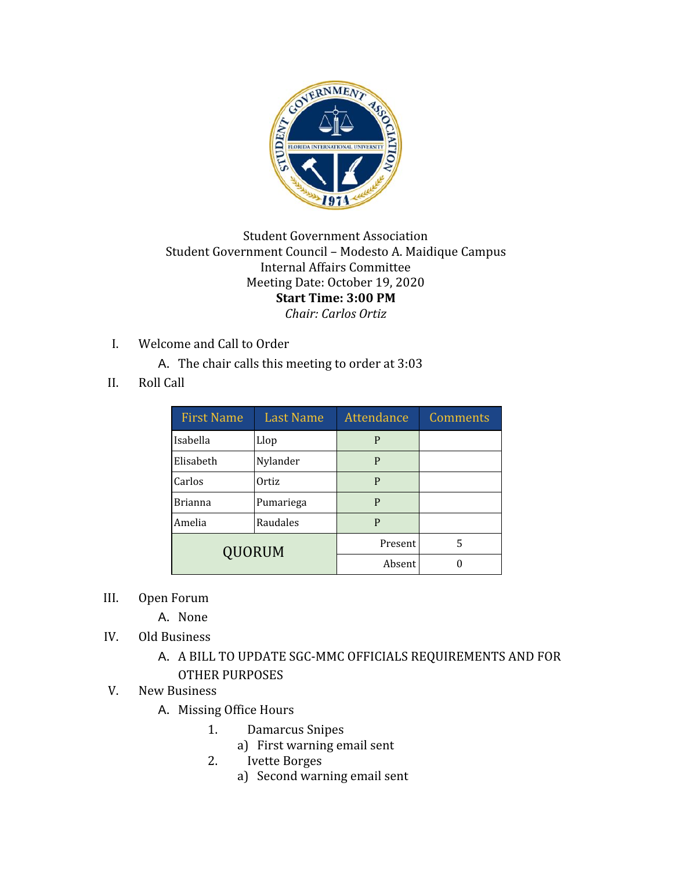

## Student Government Association Student Government Council – Modesto A. Maidique Campus Internal Affairs Committee Meeting Date: October 19, 2020 **Start Time: 3:00 PM** *Chair: Carlos Ortiz*

- I. Welcome and Call to Order
	- A. The chair calls this meeting to order at 3:03
- II. Roll Call

| <b>First Name</b> | <b>Last Name</b> | Attendance | Comments |
|-------------------|------------------|------------|----------|
| Isabella          | Llop             | P          |          |
| Elisabeth         | Nylander         | P          |          |
| Carlos            | Ortiz            | P          |          |
| <b>Brianna</b>    | Pumariega        | P          |          |
| Amelia            | Raudales         | P          |          |
| <b>QUORUM</b>     |                  | Present    | 5        |
|                   |                  | Absent     |          |

III. Open Forum

A. None

IV. Old Business

## A. A BILL TO UPDATE SGC-MMC OFFICIALS REQUIREMENTS AND FOR OTHER PURPOSES

- V. New Business
	- A. Missing Office Hours
		- 1. Damarcus Snipes
			- a) First warning email sent
		- 2. Ivette Borges
			- a) Second warning email sent